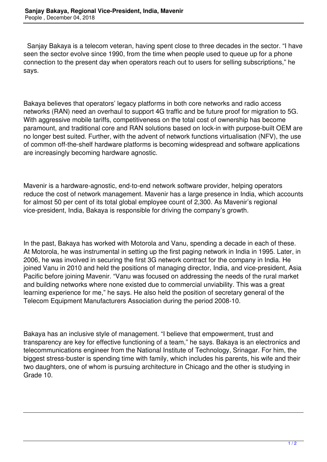Sanjay Bakaya is a telecom veteran, having spent close to three decades in the sector. "I have seen the sector evolve since 1990, from the time when people used to queue up for a phone connection to the present day when operators reach out to users for selling subscriptions," he says.

Bakaya believes that operators' legacy platforms in both core networks and radio access networks (RAN) need an overhaul to support 4G traffic and be future proof for migration to 5G. With aggressive mobile tariffs, competitiveness on the total cost of ownership has become paramount, and traditional core and RAN solutions based on lock-in with purpose-built OEM are no longer best suited. Further, with the advent of network functions virtualisation (NFV), the use of common off-the-shelf hardware platforms is becoming widespread and software applications are increasingly becoming hardware agnostic.

Mavenir is a hardware-agnostic, end-to-end network software provider, helping operators reduce the cost of network management. Mavenir has a large presence in India, which accounts for almost 50 per cent of its total global employee count of 2,300. As Mavenir's regional vice-president, India, Bakaya is responsible for driving the company's growth.

In the past, Bakaya has worked with Motorola and Vanu, spending a decade in each of these. At Motorola, he was instrumental in setting up the first paging network in India in 1995. Later, in 2006, he was involved in securing the first 3G network contract for the company in India. He joined Vanu in 2010 and held the positions of managing director, India, and vice-president, Asia Pacific before joining Mavenir. "Vanu was focused on addressing the needs of the rural market and building networks where none existed due to commercial unviability. This was a great learning experience for me," he says. He also held the position of secretary general of the Telecom Equipment Manufacturers Association during the period 2008-10.

Bakaya has an inclusive style of management. "I believe that empowerment, trust and transparency are key for effective functioning of a team," he says. Bakaya is an electronics and telecommunications engineer from the National Institute of Technology, Srinagar. For him, the biggest stress-buster is spending time with family, which includes his parents, his wife and their two daughters, one of whom is pursuing architecture in Chicago and the other is studying in Grade 10.